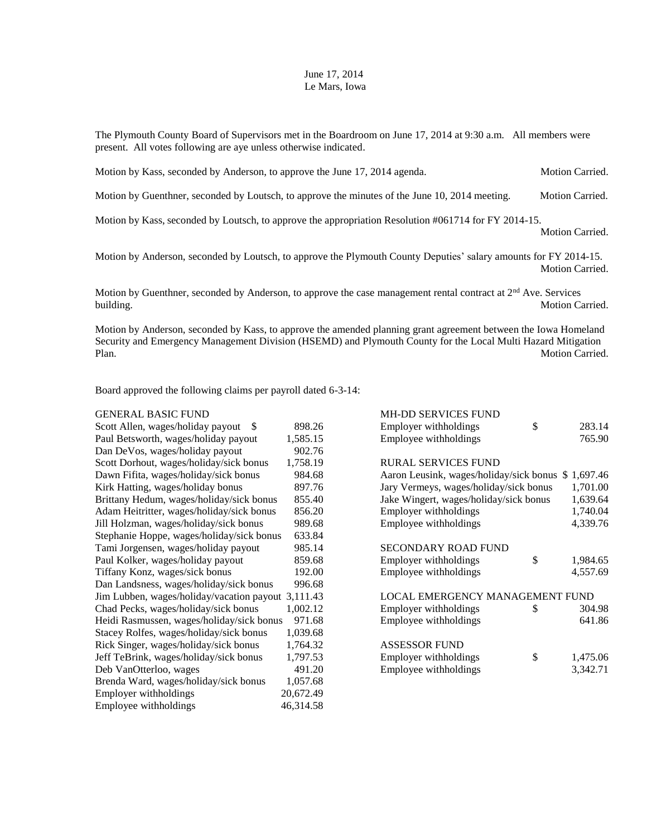## June 17, 2014 Le Mars, Iowa

The Plymouth County Board of Supervisors met in the Boardroom on June 17, 2014 at 9:30 a.m. All members were present. All votes following are aye unless otherwise indicated.

Motion by Kass, seconded by Anderson, to approve the June 17, 2014 agenda. Motion Carried.

Motion by Guenthner, seconded by Loutsch, to approve the minutes of the June 10, 2014 meeting. Motion Carried.

Motion by Kass, seconded by Loutsch, to approve the appropriation Resolution #061714 for FY 2014-15.

Motion Carried.

Motion by Anderson, seconded by Loutsch, to approve the Plymouth County Deputies' salary amounts for FY 2014-15. Motion Carried.

Motion by Guenthner, seconded by Anderson, to approve the case management rental contract at  $2<sup>nd</sup>$  Ave. Services building. Motion Carried.

Motion by Anderson, seconded by Kass, to approve the amended planning grant agreement between the Iowa Homeland Security and Emergency Management Division (HSEMD) and Plymouth County for the Local Multi Hazard Mitigation Plan. Motion Carried.

Board approved the following claims per payroll dated 6-3-14:

## GENERAL BASIC FUND GENERAL BASIC FUND

| Scott Allen, wages/holiday payout<br>-S            | 898.26    | Employer withholdings                   | \$<br>283.14   |
|----------------------------------------------------|-----------|-----------------------------------------|----------------|
| Paul Betsworth, wages/holiday payout               | 1,585.15  | Employee withholdings                   | 765.90         |
| Dan DeVos, wages/holiday payout                    | 902.76    |                                         |                |
| Scott Dorhout, wages/holiday/sick bonus            | 1,758.19  | <b>RURAL SERVICES FUND</b>              |                |
| Dawn Fifita, wages/holiday/sick bonus              | 984.68    | Aaron Leusink, wages/holiday/sick bonus | \$1,697.46     |
| Kirk Hatting, wages/holiday bonus                  | 897.76    | Jary Vermeys, wages/holiday/sick bonus  | 1,701.00       |
| Brittany Hedum, wages/holiday/sick bonus           | 855.40    | Jake Wingert, wages/holiday/sick bonus  | 1,639.64       |
| Adam Heitritter, wages/holiday/sick bonus          | 856.20    | Employer withholdings                   | 1,740.04       |
| Jill Holzman, wages/holiday/sick bonus             | 989.68    | Employee withholdings                   | 4,339.76       |
| Stephanie Hoppe, wages/holiday/sick bonus          | 633.84    |                                         |                |
| Tami Jorgensen, wages/holiday payout               | 985.14    | <b>SECONDARY ROAD FUND</b>              |                |
| Paul Kolker, wages/holiday payout                  | 859.68    | Employer withholdings                   | \$<br>1,984.65 |
| Tiffany Konz, wages/sick bonus                     | 192.00    | Employee withholdings                   | 4,557.69       |
| Dan Landsness, wages/holiday/sick bonus            | 996.68    |                                         |                |
| Jim Lubben, wages/holiday/vacation payout 3,111.43 |           | LOCAL EMERGENCY MANAGEMENT FUND         |                |
| Chad Pecks, wages/holiday/sick bonus               | 1,002.12  | Employer withholdings                   | \$<br>304.98   |
| Heidi Rasmussen, wages/holiday/sick bonus          | 971.68    | Employee withholdings                   | 641.86         |
| Stacey Rolfes, wages/holiday/sick bonus            | 1,039.68  |                                         |                |
| Rick Singer, wages/holiday/sick bonus              | 1,764.32  | <b>ASSESSOR FUND</b>                    |                |
| Jeff TeBrink, wages/holiday/sick bonus             | 1,797.53  | Employer withholdings                   | \$<br>1,475.06 |
| Deb VanOtterloo, wages                             | 491.20    | Employee withholdings                   | 3,342.71       |
| Brenda Ward, wages/holiday/sick bonus              | 1,057.68  |                                         |                |
| Employer withholdings                              | 20,672.49 |                                         |                |
| Employee withholdings                              | 46,314.58 |                                         |                |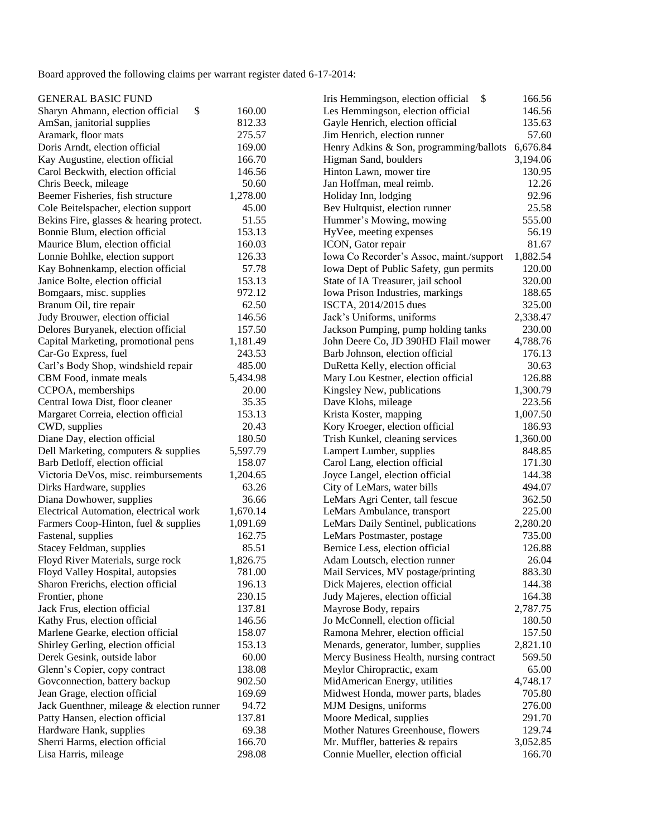Board approved the following claims per warrant register dated 6-17-2014:

| <b>GENERAL BASIC FUND</b>                                  |          | \$<br>Iris Hemmingson, election official                    | 166.56   |
|------------------------------------------------------------|----------|-------------------------------------------------------------|----------|
| \$<br>Sharyn Ahmann, election official                     | 160.00   | Les Hemmingson, election official                           | 146.56   |
| AmSan, janitorial supplies                                 | 812.33   | Gayle Henrich, election official                            | 135.63   |
| Aramark, floor mats                                        | 275.57   | Jim Henrich, election runner                                | 57.60    |
| Doris Arndt, election official                             | 169.00   | Henry Adkins & Son, programming/ballots                     | 6,676.84 |
| Kay Augustine, election official                           | 166.70   | Higman Sand, boulders                                       | 3,194.06 |
| Carol Beckwith, election official                          | 146.56   | Hinton Lawn, mower tire                                     | 130.95   |
| Chris Beeck, mileage                                       | 50.60    | Jan Hoffman, meal reimb.                                    | 12.26    |
| Beemer Fisheries, fish structure                           | 1,278.00 | Holiday Inn, lodging                                        | 92.96    |
| Cole Beitelspacher, election support                       | 45.00    | Bev Hultquist, election runner                              | 25.58    |
| Bekins Fire, glasses & hearing protect.                    | 51.55    | Hummer's Mowing, mowing                                     | 555.00   |
| Bonnie Blum, election official                             | 153.13   | HyVee, meeting expenses                                     | 56.19    |
| Maurice Blum, election official                            | 160.03   | ICON, Gator repair                                          | 81.67    |
| Lonnie Bohlke, election support                            | 126.33   | Iowa Co Recorder's Assoc, maint./support                    | 1,882.54 |
| Kay Bohnenkamp, election official                          | 57.78    | Iowa Dept of Public Safety, gun permits                     | 120.00   |
| Janice Bolte, election official                            | 153.13   | State of IA Treasurer, jail school                          | 320.00   |
| Bomgaars, misc. supplies                                   | 972.12   | Iowa Prison Industries, markings                            | 188.65   |
| Branum Oil, tire repair                                    | 62.50    | ISCTA, 2014/2015 dues                                       | 325.00   |
| Judy Brouwer, election official                            | 146.56   | Jack's Uniforms, uniforms                                   | 2,338.47 |
| Delores Buryanek, election official                        | 157.50   | Jackson Pumping, pump holding tanks                         | 230.00   |
| Capital Marketing, promotional pens                        | 1,181.49 | John Deere Co, JD 390HD Flail mower                         | 4,788.76 |
| Car-Go Express, fuel                                       | 243.53   | Barb Johnson, election official                             | 176.13   |
| Carl's Body Shop, windshield repair                        | 485.00   | DuRetta Kelly, election official                            | 30.63    |
| CBM Food, inmate meals                                     | 5,434.98 | Mary Lou Kestner, election official                         | 126.88   |
| CCPOA, memberships                                         | 20.00    | Kingsley New, publications                                  | 1,300.79 |
| Central Iowa Dist, floor cleaner                           | 35.35    | Dave Klohs, mileage                                         | 223.56   |
| Margaret Correia, election official                        | 153.13   | Krista Koster, mapping                                      | 1,007.50 |
| CWD, supplies                                              | 20.43    | Kory Kroeger, election official                             | 186.93   |
| Diane Day, election official                               | 180.50   | Trish Kunkel, cleaning services                             | 1,360.00 |
| Dell Marketing, computers & supplies                       | 5,597.79 | Lampert Lumber, supplies                                    | 848.85   |
| Barb Detloff, election official                            | 158.07   | Carol Lang, election official                               | 171.30   |
| Victoria DeVos, misc. reimbursements                       | 1,204.65 | Joyce Langel, election official                             | 144.38   |
| Dirks Hardware, supplies                                   | 63.26    | City of LeMars, water bills                                 | 494.07   |
| Diana Dowhower, supplies                                   | 36.66    | LeMars Agri Center, tall fescue                             | 362.50   |
| Electrical Automation, electrical work                     | 1,670.14 | LeMars Ambulance, transport                                 | 225.00   |
| Farmers Coop-Hinton, fuel & supplies                       | 1,091.69 | LeMars Daily Sentinel, publications                         | 2,280.20 |
| Fastenal, supplies                                         | 162.75   | LeMars Postmaster, postage                                  | 735.00   |
| Stacey Feldman, supplies                                   | 85.51    | Bernice Less, election official                             | 126.88   |
| Floyd River Materials, surge rock                          | 1,826.75 | Adam Loutsch, election runner                               | 26.04    |
| Floyd Valley Hospital, autopsies                           | 781.00   | Mail Services, MV postage/printing                          | 883.30   |
| Sharon Frerichs, election official                         | 196.13   | Dick Majeres, election official                             | 144.38   |
| Frontier, phone                                            | 230.15   | Judy Majeres, election official                             | 164.38   |
| Jack Frus, election official                               | 137.81   | Mayrose Body, repairs                                       | 2,787.75 |
| Kathy Frus, election official                              | 146.56   | Jo McConnell, election official                             | 180.50   |
| Marlene Gearke, election official                          | 158.07   | Ramona Mehrer, election official                            | 157.50   |
| Shirley Gerling, election official                         | 153.13   | Menards, generator, lumber, supplies                        | 2,821.10 |
| Derek Gesink, outside labor                                | 60.00    | Mercy Business Health, nursing contract                     | 569.50   |
| Glenn's Copier, copy contract                              | 138.08   | Meylor Chiropractic, exam                                   | 65.00    |
| Govconnection, battery backup                              | 902.50   | MidAmerican Energy, utilities                               | 4,748.17 |
| Jean Grage, election official                              | 169.69   |                                                             | 705.80   |
|                                                            | 94.72    | Midwest Honda, mower parts, blades<br>MJM Designs, uniforms | 276.00   |
| Jack Guenthner, mileage & election runner                  | 137.81   | Moore Medical, supplies                                     | 291.70   |
| Patty Hansen, election official                            | 69.38    | Mother Natures Greenhouse, flowers                          | 129.74   |
| Hardware Hank, supplies<br>Sherri Harms, election official | 166.70   | Mr. Muffler, batteries & repairs                            | 3,052.85 |
|                                                            |          |                                                             |          |
| Lisa Harris, mileage                                       | 298.08   | Connie Mueller, election official                           | 166.70   |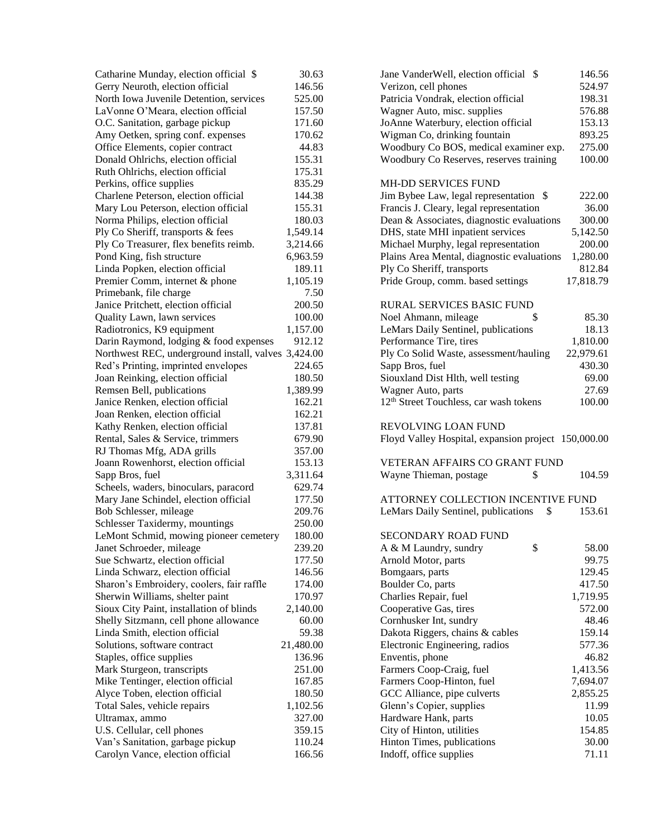| Catharine Munday, election official \$              | 30.63     | Jane VanderWell, election official \$              |
|-----------------------------------------------------|-----------|----------------------------------------------------|
| Gerry Neuroth, election official                    | 146.56    | Verizon, cell phones                               |
| North Iowa Juvenile Detention, services             | 525.00    | Patricia Vondrak, election official                |
| LaVonne O'Meara, election official                  | 157.50    | Wagner Auto, misc. supplies                        |
| O.C. Sanitation, garbage pickup                     | 171.60    | JoAnne Waterbury, election official                |
| Amy Oetken, spring conf. expenses                   | 170.62    | Wigman Co, drinking fountain                       |
| Office Elements, copier contract                    | 44.83     | Woodbury Co BOS, medical examiner exp.             |
| Donald Ohlrichs, election official                  | 155.31    | Woodbury Co Reserves, reserves training            |
| Ruth Ohlrichs, election official                    | 175.31    |                                                    |
| Perkins, office supplies                            | 835.29    | <b>MH-DD SERVICES FUND</b>                         |
| Charlene Peterson, election official                | 144.38    | Jim Bybee Law, legal representation \$             |
| Mary Lou Peterson, election official                | 155.31    | Francis J. Cleary, legal representation            |
| Norma Philips, election official                    | 180.03    | Dean & Associates, diagnostic evaluations          |
| Ply Co Sheriff, transports & fees                   | 1,549.14  | DHS, state MHI inpatient services                  |
| Ply Co Treasurer, flex benefits reimb.              | 3,214.66  | Michael Murphy, legal representation               |
| Pond King, fish structure                           | 6,963.59  | Plains Area Mental, diagnostic evaluations         |
| Linda Popken, election official                     | 189.11    | Ply Co Sheriff, transports                         |
| Premier Comm, internet & phone                      | 1,105.19  | Pride Group, comm. based settings                  |
| Primebank, file charge                              | 7.50      |                                                    |
| Janice Pritchett, election official                 | 200.50    | <b>RURAL SERVICES BASIC FUND</b>                   |
| Quality Lawn, lawn services                         | 100.00    | Noel Ahmann, mileage<br>\$                         |
| Radiotronics, K9 equipment                          | 1,157.00  | LeMars Daily Sentinel, publications                |
| Darin Raymond, lodging & food expenses              | 912.12    | Performance Tire, tires                            |
| Northwest REC, underground install, valves 3,424.00 |           | Ply Co Solid Waste, assessment/hauling             |
| Red's Printing, imprinted envelopes                 | 224.65    | Sapp Bros, fuel                                    |
| Joan Reinking, election official                    | 180.50    | Siouxland Dist Hlth, well testing                  |
| Remsen Bell, publications                           | 1,389.99  | Wagner Auto, parts                                 |
| Janice Renken, election official                    | 162.21    | 12 <sup>th</sup> Street Touchless, car wash tokens |
| Joan Renken, election official                      | 162.21    |                                                    |
| Kathy Renken, election official                     | 137.81    | <b>REVOLVING LOAN FUND</b>                         |
| Rental, Sales & Service, trimmers                   | 679.90    | Floyd Valley Hospital, expansion project           |
| RJ Thomas Mfg, ADA grills                           | 357.00    |                                                    |
| Joann Rowenhorst, election official                 | 153.13    | <b>VETERAN AFFAIRS CO GRANT FUND</b>               |
| Sapp Bros, fuel                                     | 3,311.64  | \$<br>Wayne Thieman, postage                       |
| Scheels, waders, binoculars, paracord               | 629.74    |                                                    |
| Mary Jane Schindel, election official               | 177.50    | ATTORNEY COLLECTION INCENTIVE                      |
| Bob Schlesser, mileage                              | 209.76    | LeMars Daily Sentinel, publications<br>\$          |
| Schlesser Taxidermy, mountings                      | 250.00    |                                                    |
| LeMont Schmid, mowing pioneer cemetery              | 180.00    | <b>SECONDARY ROAD FUND</b>                         |
| Janet Schroeder, mileage                            | 239.20    | \$<br>A & M Laundry, sundry                        |
| Sue Schwartz, election official                     | 177.50    | Arnold Motor, parts                                |
| Linda Schwarz, election official                    | 146.56    | Bomgaars, parts                                    |
| Sharon's Embroidery, coolers, fair raffle           | 174.00    | Boulder Co, parts                                  |
| Sherwin Williams, shelter paint                     | 170.97    | Charlies Repair, fuel                              |
| Sioux City Paint, installation of blinds            | 2,140.00  | Cooperative Gas, tires                             |
| Shelly Sitzmann, cell phone allowance               | 60.00     | Cornhusker Int, sundry                             |
| Linda Smith, election official                      | 59.38     | Dakota Riggers, chains & cables                    |
| Solutions, software contract                        | 21,480.00 | Electronic Engineering, radios                     |
| Staples, office supplies                            | 136.96    | Enventis, phone                                    |
| Mark Sturgeon, transcripts                          | 251.00    | Farmers Coop-Craig, fuel                           |
| Mike Tentinger, election official                   | 167.85    | Farmers Coop-Hinton, fuel                          |
| Alyce Toben, election official                      | 180.50    | GCC Alliance, pipe culverts                        |
| Total Sales, vehicle repairs                        | 1,102.56  | Glenn's Copier, supplies                           |
| Ultramax, ammo                                      | 327.00    | Hardware Hank, parts                               |
| U.S. Cellular, cell phones                          | 359.15    | City of Hinton, utilities                          |
| Van's Sanitation, garbage pickup                    | 110.24    | Hinton Times, publications                         |
| Carolyn Vance, election official                    | 166.56    | Indoff, office supplies                            |

| Catharine Munday, election official \$              | 30.63     | Jane VanderWell, election official \$<br>146.56              |
|-----------------------------------------------------|-----------|--------------------------------------------------------------|
| Gerry Neuroth, election official                    | 146.56    | Verizon, cell phones<br>524.97                               |
| North Iowa Juvenile Detention, services             | 525.00    | 198.31<br>Patricia Vondrak, election official                |
| LaVonne O'Meara, election official                  | 157.50    | 576.88<br>Wagner Auto, misc. supplies                        |
| O.C. Sanitation, garbage pickup                     | 171.60    | 153.13<br>JoAnne Waterbury, election official                |
| Amy Oetken, spring conf. expenses                   | 170.62    | 893.25<br>Wigman Co, drinking fountain                       |
| Office Elements, copier contract                    | 44.83     | 275.00<br>Woodbury Co BOS, medical examiner exp.             |
| Donald Ohlrichs, election official                  | 155.31    | 100.00<br>Woodbury Co Reserves, reserves training            |
| Ruth Ohlrichs, election official                    | 175.31    |                                                              |
| Perkins, office supplies                            | 835.29    | <b>MH-DD SERVICES FUND</b>                                   |
| Charlene Peterson, election official                | 144.38    | 222.00<br>Jim Bybee Law, legal representation \$             |
| Mary Lou Peterson, election official                | 155.31    | Francis J. Cleary, legal representation<br>36.00             |
| Norma Philips, election official                    | 180.03    | Dean & Associates, diagnostic evaluations<br>300.00          |
| Ply Co Sheriff, transports & fees                   | 1,549.14  | DHS, state MHI inpatient services<br>5,142.50                |
| Ply Co Treasurer, flex benefits reimb.              | 3,214.66  | Michael Murphy, legal representation<br>200.00               |
| Pond King, fish structure                           | 6,963.59  | Plains Area Mental, diagnostic evaluations<br>1,280.00       |
| Linda Popken, election official                     | 189.11    | Ply Co Sheriff, transports<br>812.84                         |
| Premier Comm, internet & phone                      | 1,105.19  | 17,818.79<br>Pride Group, comm. based settings               |
| Primebank, file charge                              | 7.50      |                                                              |
| Janice Pritchett, election official                 | 200.50    | <b>RURAL SERVICES BASIC FUND</b>                             |
| Quality Lawn, lawn services                         | 100.00    | Noel Ahmann, mileage<br>\$<br>85.30                          |
| Radiotronics, K9 equipment                          | 1,157.00  | LeMars Daily Sentinel, publications<br>18.13                 |
| Darin Raymond, lodging & food expenses              | 912.12    | Performance Tire, tires<br>1,810.00                          |
| Northwest REC, underground install, valves 3,424.00 |           | Ply Co Solid Waste, assessment/hauling<br>22,979.61          |
| Red's Printing, imprinted envelopes                 | 224.65    | Sapp Bros, fuel<br>430.30                                    |
| Joan Reinking, election official                    | 180.50    | Siouxland Dist Hlth, well testing<br>69.00                   |
| Remsen Bell, publications                           | 1,389.99  | 27.69<br>Wagner Auto, parts                                  |
| Janice Renken, election official                    | 162.21    | 12 <sup>th</sup> Street Touchless, car wash tokens<br>100.00 |
| Joan Renken, election official                      | 162.21    |                                                              |
| Kathy Renken, election official                     | 137.81    | REVOLVING LOAN FUND                                          |
| Rental, Sales & Service, trimmers                   | 679.90    | Floyd Valley Hospital, expansion project 150,000.00          |
| RJ Thomas Mfg, ADA grills                           | 357.00    |                                                              |
| Joann Rowenhorst, election official                 | 153.13    | <b>VETERAN AFFAIRS CO GRANT FUND</b>                         |
| Sapp Bros, fuel                                     | 3,311.64  | Wayne Thieman, postage<br>\$<br>104.59                       |
| Scheels, waders, binoculars, paracord               | 629.74    |                                                              |
| Mary Jane Schindel, election official               | 177.50    | ATTORNEY COLLECTION INCENTIVE FUND                           |
| Bob Schlesser, mileage                              | 209.76    | LeMars Daily Sentinel, publications<br>\$<br>153.61          |
| Schlesser Taxidermy, mountings                      | 250.00    |                                                              |
| LeMont Schmid, mowing pioneer cemetery              | 180.00    | <b>SECONDARY ROAD FUND</b>                                   |
| Janet Schroeder, mileage                            | 239.20    | \$<br>A & M Laundry, sundry<br>58.00                         |
| Sue Schwartz, election official                     | 177.50    | Arnold Motor, parts<br>99.75                                 |
| Linda Schwarz, election official                    | 146.56    | 129.45<br>Bomgaars, parts                                    |
| Sharon's Embroidery, coolers, fair raffle           | 174.00    | Boulder Co, parts<br>417.50                                  |
| Sherwin Williams, shelter paint                     | 170.97    | Charlies Repair, fuel<br>1,719.95                            |
| Sioux City Paint, installation of blinds            | 2,140.00  | 572.00<br>Cooperative Gas, tires                             |
| Shelly Sitzmann, cell phone allowance               | 60.00     | Cornhusker Int, sundry<br>48.46                              |
| Linda Smith, election official                      | 59.38     | Dakota Riggers, chains & cables<br>159.14                    |
| Solutions, software contract                        | 21,480.00 | 577.36<br>Electronic Engineering, radios                     |
| Staples, office supplies                            | 136.96    | Enventis, phone<br>46.82                                     |
| Mark Sturgeon, transcripts                          | 251.00    | 1,413.56<br>Farmers Coop-Craig, fuel                         |
| Mike Tentinger, election official                   | 167.85    | Farmers Coop-Hinton, fuel<br>7,694.07                        |
| Alyce Toben, election official                      | 180.50    | GCC Alliance, pipe culverts<br>2,855.25                      |
| Total Sales, vehicle repairs                        | 1,102.56  | Glenn's Copier, supplies<br>11.99                            |
| Ultramax, ammo                                      | 327.00    | 10.05<br>Hardware Hank, parts                                |
| U.S. Cellular, cell phones                          | 359.15    | City of Hinton, utilities<br>154.85                          |
| Van's Sanitation, garbage pickup                    | 110.24    | Hinton Times, publications<br>30.00                          |
| Carolyn Vance, election official                    | 166.56    | Indoff, office supplies<br>71.11                             |